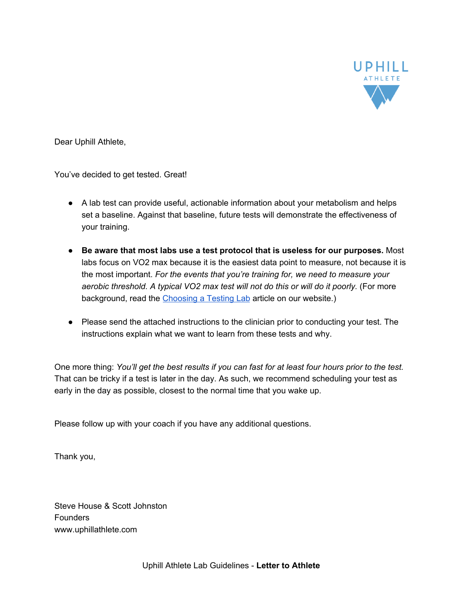

Dear Uphill Athlete,

You've decided to get tested. Great!

- A lab test can provide useful, actionable information about your metabolism and helps set a baseline. Against that baseline, future tests will demonstrate the effectiveness of your training.
- **Be aware that most labs use a test protocol that is useless for our purposes.** Most labs focus on VO2 max because it is the easiest data point to measure, not because it is the most important. *For the events that you're training for, we need to measure your aerobic threshold. A typical VO2 max test will not do this or will do it poorly.* (For more background, read the [Choosing](https://www.uphillathlete.com/lab-metabolic-test/) a Testing Lab article on our website.)
- Please send the attached instructions to the clinician prior to conducting your test. The instructions explain what we want to learn from these tests and why.

One more thing: You'll get the best results if you can fast for at least four hours prior to the test. That can be tricky if a test is later in the day. As such, we recommend scheduling your test as early in the day as possible, closest to the normal time that you wake up.

Please follow up with your coach if you have any additional questions.

Thank you,

Steve House & Scott Johnston Founders www.uphillathlete.com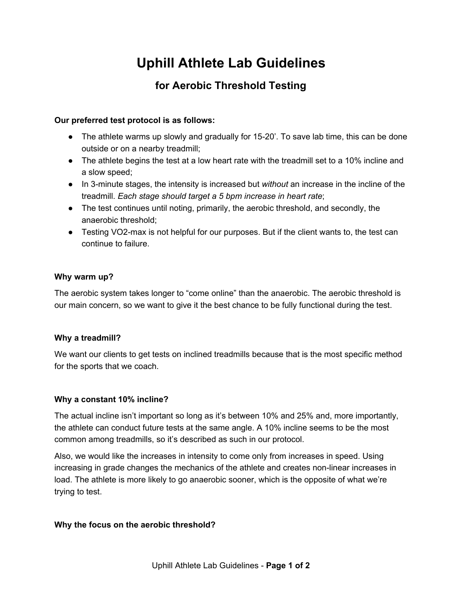# **Uphill Athlete Lab Guidelines**

## **for Aerobic Threshold Testing**

### **Our preferred test protocol is as follows:**

- The athlete warms up slowly and gradually for 15-20'. To save lab time, this can be done outside or on a nearby treadmill;
- The athlete begins the test at a low heart rate with the treadmill set to a 10% incline and a slow speed;
- In 3-minute stages, the intensity is increased but *without* an increase in the incline of the treadmill. *Each stage should target a 5 bpm increase in heart rate*;
- The test continues until noting, primarily, the aerobic threshold, and secondly, the anaerobic threshold;
- Testing VO2-max is not helpful for our purposes. But if the client wants to, the test can continue to failure.

#### **Why warm up?**

The aerobic system takes longer to "come online" than the anaerobic. The aerobic threshold is our main concern, so we want to give it the best chance to be fully functional during the test.

#### **Why a treadmill?**

We want our clients to get tests on inclined treadmills because that is the most specific method for the sports that we coach.

#### **Why a constant 10% incline?**

The actual incline isn't important so long as it's between 10% and 25% and, more importantly, the athlete can conduct future tests at the same angle. A 10% incline seems to be the most common among treadmills, so it's described as such in our protocol.

Also, we would like the increases in intensity to come only from increases in speed. Using increasing in grade changes the mechanics of the athlete and creates non-linear increases in load. The athlete is more likely to go anaerobic sooner, which is the opposite of what we're trying to test.

#### **Why the focus on the aerobic threshold?**